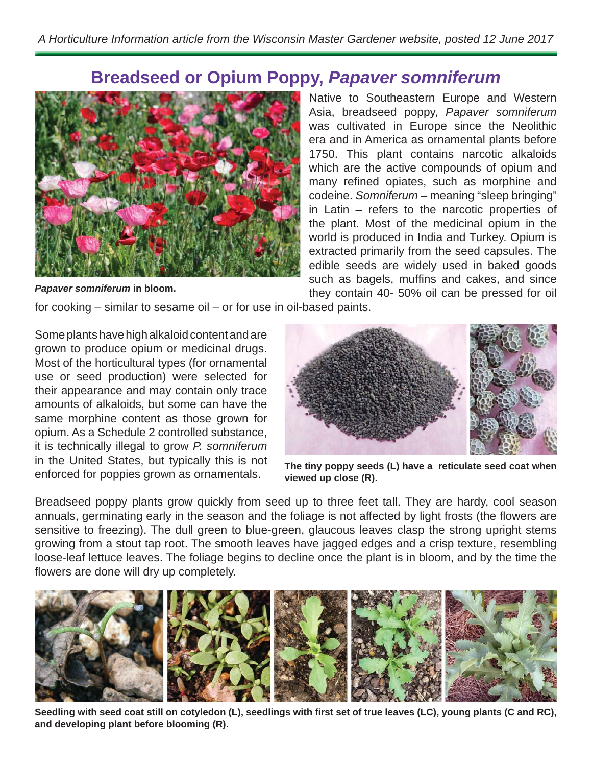## **Breadseed or Opium Poppy,** *Papaver somniferum*



*Papaver somniferum* **in bloom.**

Native to Southeastern Europe and Western Asia, breadseed poppy, *Papaver somniferum* was cultivated in Europe since the Neolithic era and in America as ornamental plants before 1750. This plant contains narcotic alkaloids which are the active compounds of opium and many refined opiates, such as morphine and codeine. *Somniferum* – meaning "sleep bringing" in Latin – refers to the narcotic properties of the plant. Most of the medicinal opium in the world is produced in India and Turkey. Opium is extracted primarily from the seed capsules. The edible seeds are widely used in baked goods such as bagels, muffins and cakes, and since they contain 40- 50% oil can be pressed for oil

for cooking – similar to sesame oil – or for use in oil-based paints.

Some plants have high alkaloid content and are grown to produce opium or medicinal drugs. Most of the horticultural types (for ornamental use or seed production) were selected for their appearance and may contain only trace amounts of alkaloids, but some can have the same morphine content as those grown for opium. As a Schedule 2 controlled substance, it is technically illegal to grow *P. somniferum* in the United States, but typically this is not enforced for poppies grown as ornamentals.



**The tiny poppy seeds (L) have a reticulate seed coat when viewed up close (R).**

Breadseed poppy plants grow quickly from seed up to three feet tall. They are hardy, cool season annuals, germinating early in the season and the foliage is not affected by light frosts (the flowers are sensitive to freezing). The dull green to blue-green, glaucous leaves clasp the strong upright stems growing from a stout tap root. The smooth leaves have jagged edges and a crisp texture, resembling loose-leaf lettuce leaves. The foliage begins to decline once the plant is in bloom, and by the time the flowers are done will dry up completely.



Seedling with seed coat still on cotyledon (L), seedlings with first set of true leaves (LC), young plants (C and RC), **and developing plant before blooming (R).**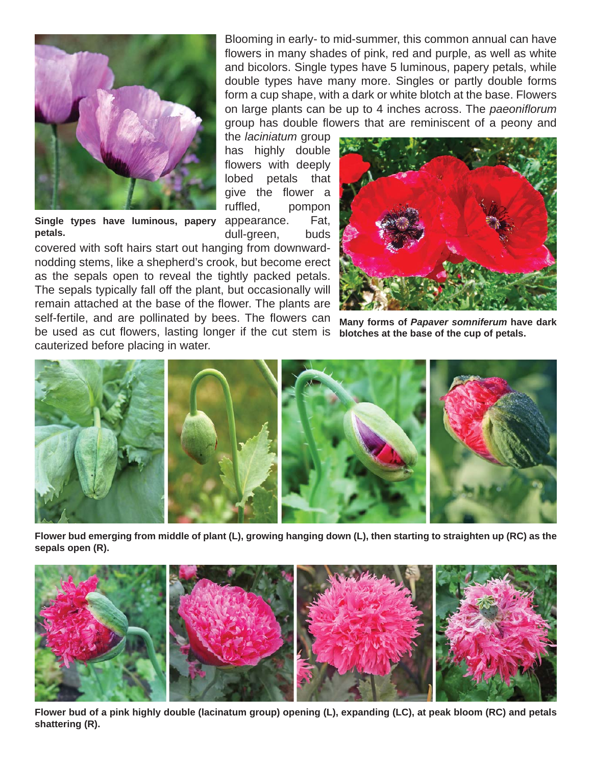

Single types have luminous, papery appearance. Fat, **petals.**

covered with soft hairs start out hanging from downwardnodding stems, like a shepherd's crook, but become erect as the sepals open to reveal the tightly packed petals. The sepals typically fall off the plant, but occasionally will remain attached at the base of the flower. The plants are self-fertile, and are pollinated by bees. The flowers can be used as cut flowers, lasting longer if the cut stem is cauterized before placing in water.

Blooming in early- to mid-summer, this common annual can have flowers in many shades of pink, red and purple, as well as white and bicolors. Single types have 5 luminous, papery petals, while double types have many more. Singles or partly double forms form a cup shape, with a dark or white blotch at the base. Flowers on large plants can be up to 4 inches across. The *paeonifl orum* group has double flowers that are reminiscent of a peony and

the *laciniatum* group has highly double flowers with deeply lobed petals that give the flower a ruffled, pompon dull-green, buds



**Many forms of** *Papaver somniferum* **have dark blotches at the base of the cup of petals.**



**Flower bud emerging from middle of plant (L), growing hanging down (L), then starting to straighten up (RC) as the sepals open (R).** 



Flower bud of a pink highly double (lacinatum group) opening (L), expanding (LC), at peak bloom (RC) and petals **shattering (R).**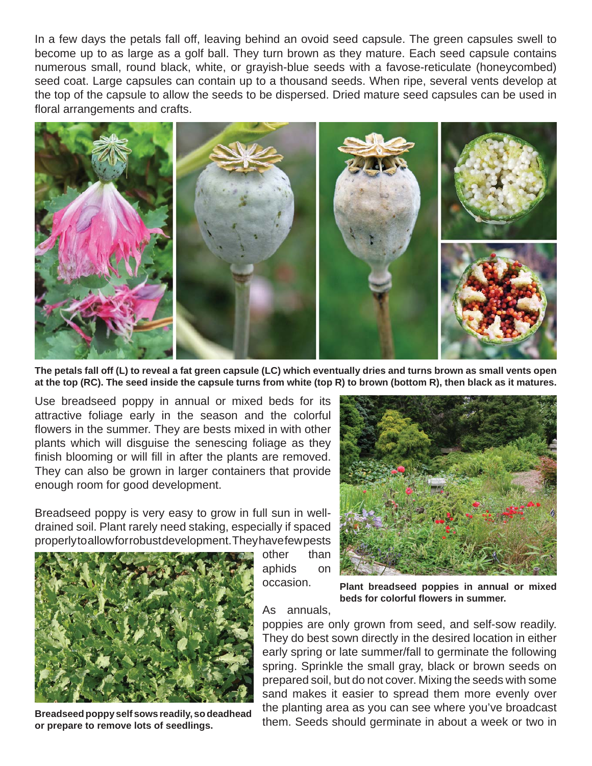In a few days the petals fall off, leaving behind an ovoid seed capsule. The green capsules swell to become up to as large as a golf ball. They turn brown as they mature. Each seed capsule contains numerous small, round black, white, or grayish-blue seeds with a favose-reticulate (honeycombed) seed coat. Large capsules can contain up to a thousand seeds. When ripe, several vents develop at the top of the capsule to allow the seeds to be dispersed. Dried mature seed capsules can be used in floral arrangements and crafts.



**The petals fall off (L) to reveal a fat green capsule (LC) which eventually dries and turns brown as small vents open at the top (RC). The seed inside the capsule turns from white (top R) to brown (bottom R), then black as it matures.**

Use breadseed poppy in annual or mixed beds for its attractive foliage early in the season and the colorful flowers in the summer. They are bests mixed in with other plants which will disguise the senescing foliage as they finish blooming or will fill in after the plants are removed. They can also be grown in larger containers that provide enough room for good development.

Breadseed poppy is very easy to grow in full sun in welldrained soil. Plant rarely need staking, especially if spaced properly to allow for robust development. They have few pests



**Breadseed poppy self sows readily, so deadhead or prepare to remove lots of seedlings.**

other than aphids on occasion.



**Plant breadseed poppies in annual or mixed beds for colorful fl owers in summer.**

As annuals,

poppies are only grown from seed, and self-sow readily. They do best sown directly in the desired location in either early spring or late summer/fall to germinate the following spring. Sprinkle the small gray, black or brown seeds on prepared soil, but do not cover. Mixing the seeds with some sand makes it easier to spread them more evenly over the planting area as you can see where you've broadcast them. Seeds should germinate in about a week or two in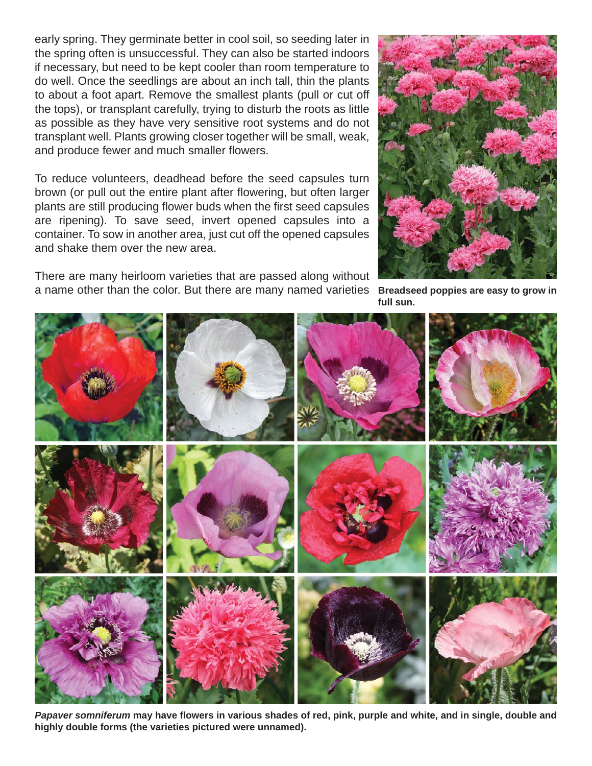early spring. They germinate better in cool soil, so seeding later in the spring often is unsuccessful. They can also be started indoors if necessary, but need to be kept cooler than room temperature to do well. Once the seedlings are about an inch tall, thin the plants to about a foot apart. Remove the smallest plants (pull or cut off the tops), or transplant carefully, trying to disturb the roots as little as possible as they have very sensitive root systems and do not transplant well. Plants growing closer together will be small, weak, and produce fewer and much smaller flowers.

To reduce volunteers, deadhead before the seed capsules turn brown (or pull out the entire plant after flowering, but often larger plants are still producing flower buds when the first seed capsules are ripening). To save seed, invert opened capsules into a container. To sow in another area, just cut off the opened capsules and shake them over the new area.

There are many heirloom varieties that are passed along without a name other than the color. But there are many named varieties **Breadseed poppies are easy to grow in** 



**full sun.**



Papaver somniferum may have flowers in various shades of red, pink, purple and white, and in single, double and **highly double forms (the varieties pictured were unnamed).**